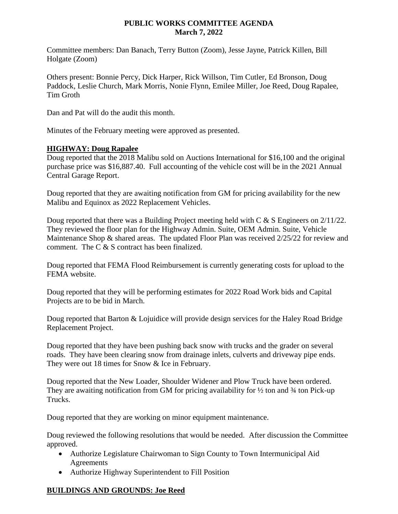## **PUBLIC WORKS COMMITTEE AGENDA March 7, 2022**

Committee members: Dan Banach, Terry Button (Zoom), Jesse Jayne, Patrick Killen, Bill Holgate (Zoom)

Others present: Bonnie Percy, Dick Harper, Rick Willson, Tim Cutler, Ed Bronson, Doug Paddock, Leslie Church, Mark Morris, Nonie Flynn, Emilee Miller, Joe Reed, Doug Rapalee, Tim Groth

Dan and Pat will do the audit this month.

Minutes of the February meeting were approved as presented.

## **HIGHWAY: Doug Rapalee**

Doug reported that the 2018 Malibu sold on Auctions International for \$16,100 and the original purchase price was \$16,887.40. Full accounting of the vehicle cost will be in the 2021 Annual Central Garage Report.

Doug reported that they are awaiting notification from GM for pricing availability for the new Malibu and Equinox as 2022 Replacement Vehicles.

Doug reported that there was a Building Project meeting held with  $C & S$  Engineers on  $2/11/22$ . They reviewed the floor plan for the Highway Admin. Suite, OEM Admin. Suite, Vehicle Maintenance Shop & shared areas. The updated Floor Plan was received 2/25/22 for review and comment. The C & S contract has been finalized.

Doug reported that FEMA Flood Reimbursement is currently generating costs for upload to the FEMA website.

Doug reported that they will be performing estimates for 2022 Road Work bids and Capital Projects are to be bid in March.

Doug reported that Barton & Lojuidice will provide design services for the Haley Road Bridge Replacement Project.

Doug reported that they have been pushing back snow with trucks and the grader on several roads. They have been clearing snow from drainage inlets, culverts and driveway pipe ends. They were out 18 times for Snow & Ice in February.

Doug reported that the New Loader, Shoulder Widener and Plow Truck have been ordered. They are awaiting notification from GM for pricing availability for  $\frac{1}{2}$  ton and  $\frac{3}{4}$  ton Pick-up Trucks.

Doug reported that they are working on minor equipment maintenance.

Doug reviewed the following resolutions that would be needed. After discussion the Committee approved.

- Authorize Legislature Chairwoman to Sign County to Town Intermunicipal Aid Agreements
- Authorize Highway Superintendent to Fill Position

## **BUILDINGS AND GROUNDS: Joe Reed**